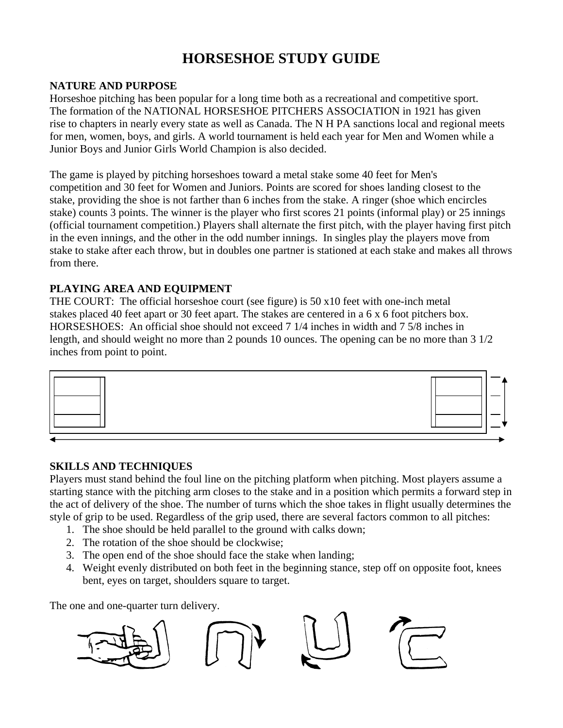# **HORSESHOE STUDY GUIDE**

### **NATURE AND PURPOSE**

Horseshoe pitching has been popular for a long time both as a recreational and competitive sport. The formation of the NATIONAL HORSESHOE PITCHERS ASSOCIATION in 1921 has given rise to chapters in nearly every state as well as Canada. The N H PA sanctions local and regional meets for men, women, boys, and girls. A world tournament is held each year for Men and Women while a Junior Boys and Junior Girls World Champion is also decided.

The game is played by pitching horseshoes toward a metal stake some 40 feet for Men's competition and 30 feet for Women and Juniors. Points are scored for shoes landing closest to the stake, providing the shoe is not farther than 6 inches from the stake. A ringer (shoe which encircles stake) counts 3 points. The winner is the player who first scores 21 points (informal play) or 25 innings (official tournament competition.) Players shall alternate the first pitch, with the player having first pitch in the even innings, and the other in the odd number innings. In singles play the players move from stake to stake after each throw, but in doubles one partner is stationed at each stake and makes all throws from there.

## **PLAYING AREA AND EQUIPMENT**

THE COURT: The official horseshoe court (see figure) is 50 x10 feet with one-inch metal stakes placed 40 feet apart or 30 feet apart. The stakes are centered in a 6 x 6 foot pitchers box. HORSESHOES: An official shoe should not exceed 7 1/4 inches in width and 7 5/8 inches in length, and should weight no more than 2 pounds 10 ounces. The opening can be no more than 3 1/2 inches from point to point.



### **SKILLS AND TECHNIQUES**

Players must stand behind the foul line on the pitching platform when pitching. Most players assume a starting stance with the pitching arm closes to the stake and in a position which permits a forward step in the act of delivery of the shoe. The number of turns which the shoe takes in flight usually determines the style of grip to be used. Regardless of the grip used, there are several factors common to all pitches:

- 1. The shoe should be held parallel to the ground with calks down;
- 2. The rotation of the shoe should be clockwise;
- 3. The open end of the shoe should face the stake when landing;
- 4. Weight evenly distributed on both feet in the beginning stance, step off on opposite foot, knees bent, eyes on target, shoulders square to target.

The one and one-quarter turn delivery.